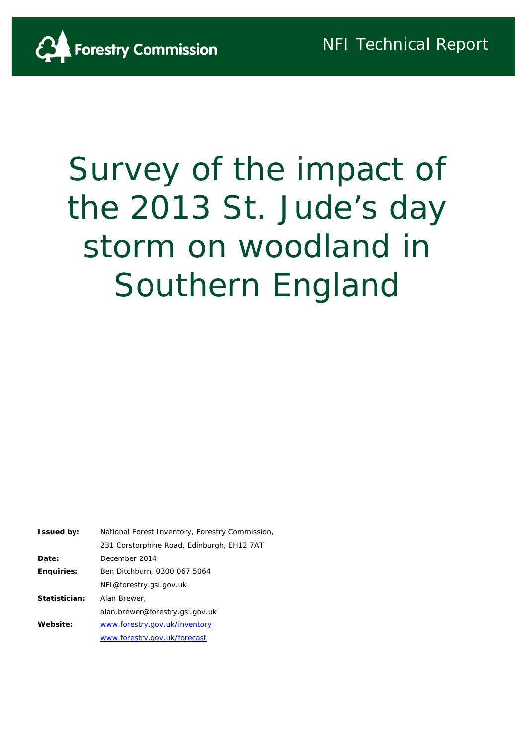

# Survey of the impact of the 2013 St. Jude's day storm on woodland in Southern England

| <b>Issued by:</b> | National Forest Inventory, Forestry Commission, |
|-------------------|-------------------------------------------------|
|                   | 231 Corstorphine Road, Edinburgh, EH12 7AT      |
| Date:             | December 2014                                   |
| <b>Enguiries:</b> | Ben Ditchburn, 0300 067 5064                    |
|                   | NFI@forestry.gsi.gov.uk                         |
| Statistician:     | Alan Brewer,                                    |
|                   | alan.brewer@forestry.gsi.gov.uk                 |
| Website:          | www.forestry.gov.uk/inventory                   |
|                   | www.forestry.gov.uk/forecast                    |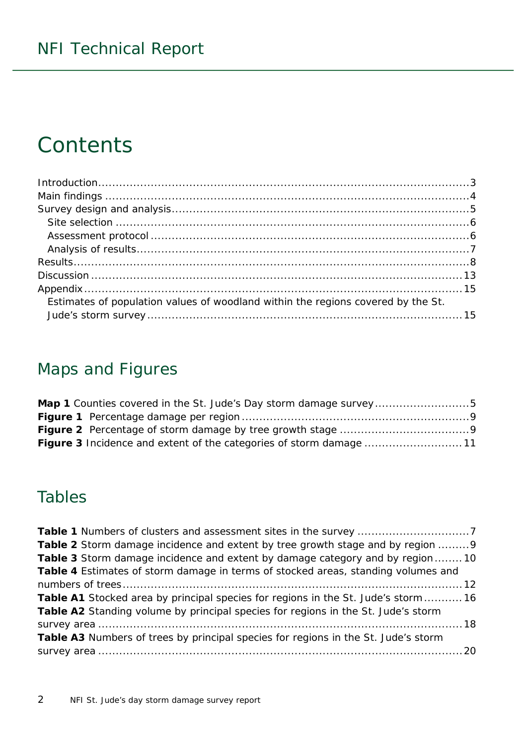## **Contents**

| Introduction 3                                                                   |  |
|----------------------------------------------------------------------------------|--|
|                                                                                  |  |
|                                                                                  |  |
|                                                                                  |  |
|                                                                                  |  |
|                                                                                  |  |
|                                                                                  |  |
|                                                                                  |  |
|                                                                                  |  |
| Estimates of population values of woodland within the regions covered by the St. |  |
|                                                                                  |  |

### Maps and Figures

| Map 1 Counties covered in the St. Jude's Day storm damage survey5         |  |
|---------------------------------------------------------------------------|--|
|                                                                           |  |
|                                                                           |  |
| <b>Figure 3</b> Incidence and extent of the categories of storm damage 11 |  |

### Tables

| <b>Table 2</b> Storm damage incidence and extent by tree growth stage and by region 9     |  |
|-------------------------------------------------------------------------------------------|--|
| <b>Table 3</b> Storm damage incidence and extent by damage category and by region10       |  |
| Table 4 Estimates of storm damage in terms of stocked areas, standing volumes and         |  |
|                                                                                           |  |
| <b>Table A1</b> Stocked area by principal species for regions in the St. Jude's storm  16 |  |
| Table A2 Standing volume by principal species for regions in the St. Jude's storm         |  |
|                                                                                           |  |
| Table A3 Numbers of trees by principal species for regions in the St. Jude's storm        |  |
|                                                                                           |  |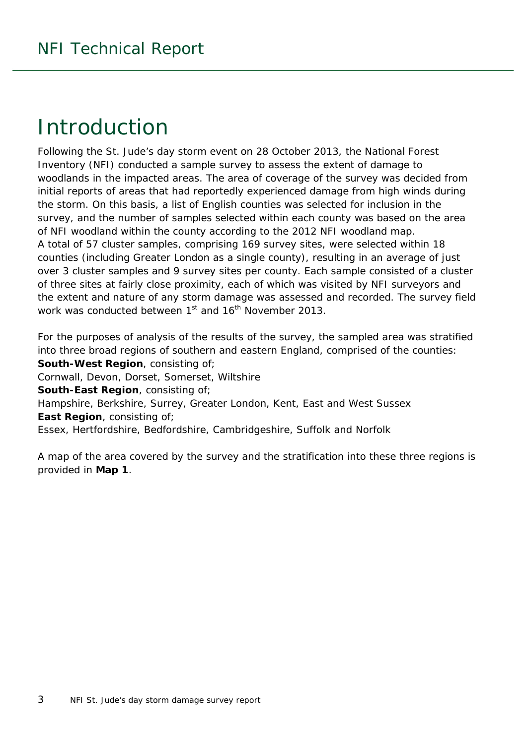### <span id="page-2-0"></span>Introduction

Following the St. Jude's day storm event on 28 October 2013, the National Forest Inventory (NFI) conducted a sample survey to assess the extent of damage to woodlands in the impacted areas. The area of coverage of the survey was decided from initial reports of areas that had reportedly experienced damage from high winds during the storm. On this basis, a list of English counties was selected for inclusion in the survey, and the number of samples selected within each county was based on the area of NFI woodland within the county according to the 2012 NFI woodland map. A total of 57 cluster samples, comprising 169 survey sites, were selected within 18 counties (including Greater London as a single county), resulting in an average of just over 3 cluster samples and 9 survey sites per county. Each sample consisted of a cluster of three sites at fairly close proximity, each of which was visited by NFI surveyors and the extent and nature of any storm damage was assessed and recorded. The survey field work was conducted between 1<sup>st</sup> and 16<sup>th</sup> November 2013.

For the purposes of analysis of the results of the survey, the sampled area was stratified into three broad regions of southern and eastern England, comprised of the counties: **South-West Region**, consisting of; Cornwall, Devon, Dorset, Somerset, Wiltshire **South-East Region**, consisting of; Hampshire, Berkshire, Surrey, Greater London, Kent, East and West Sussex **East Region**, consisting of; Essex, Hertfordshire, Bedfordshire, Cambridgeshire, Suffolk and Norfolk

<span id="page-2-1"></span>A map of the area covered by the survey and the stratification into these three regions is provided in **Map 1**.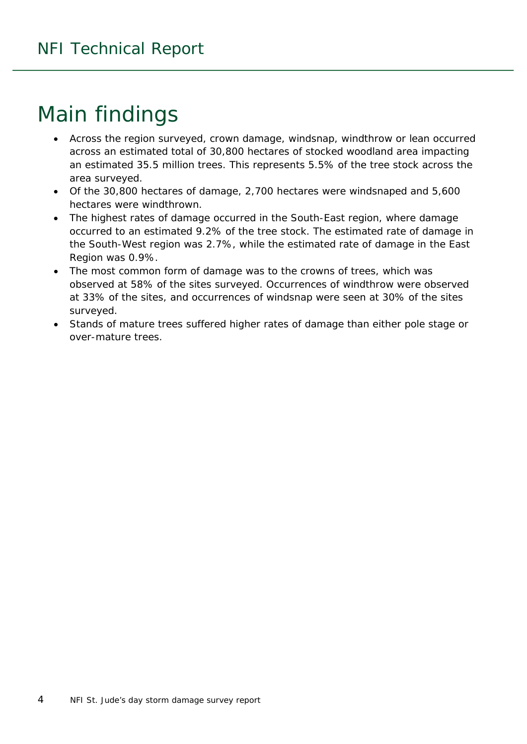# Main findings

- Across the region surveyed, crown damage, windsnap, windthrow or lean occurred across an estimated total of 30,800 hectares of stocked woodland area impacting an estimated 35.5 million trees. This represents 5.5% of the tree stock across the area surveyed.
- Of the 30,800 hectares of damage, 2,700 hectares were windsnaped and 5,600 hectares were windthrown.
- The highest rates of damage occurred in the South-East region, where damage occurred to an estimated 9.2% of the tree stock. The estimated rate of damage in the South-West region was 2.7%, while the estimated rate of damage in the East Region was 0.9%.
- The most common form of damage was to the crowns of trees, which was observed at 58% of the sites surveyed. Occurrences of windthrow were observed at 33% of the sites, and occurrences of windsnap were seen at 30% of the sites surveyed.
- <span id="page-3-0"></span>• Stands of mature trees suffered higher rates of damage than either pole stage or over-mature trees.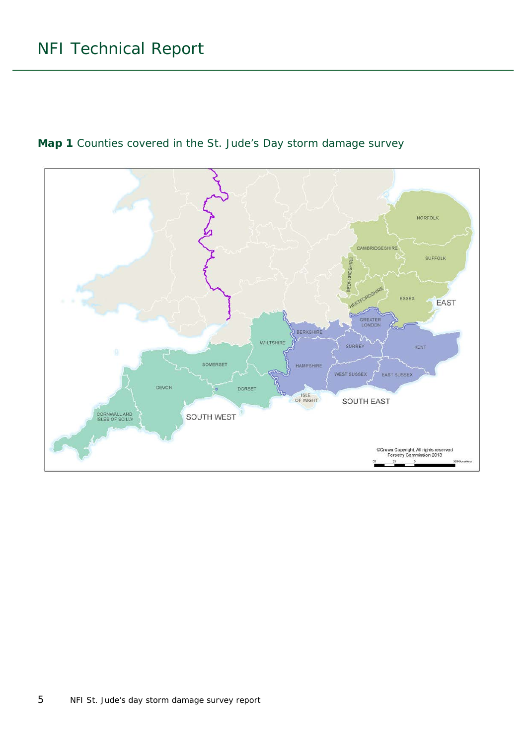

<span id="page-4-0"></span>**Map 1** Counties covered in the St. Jude's Day storm damage survey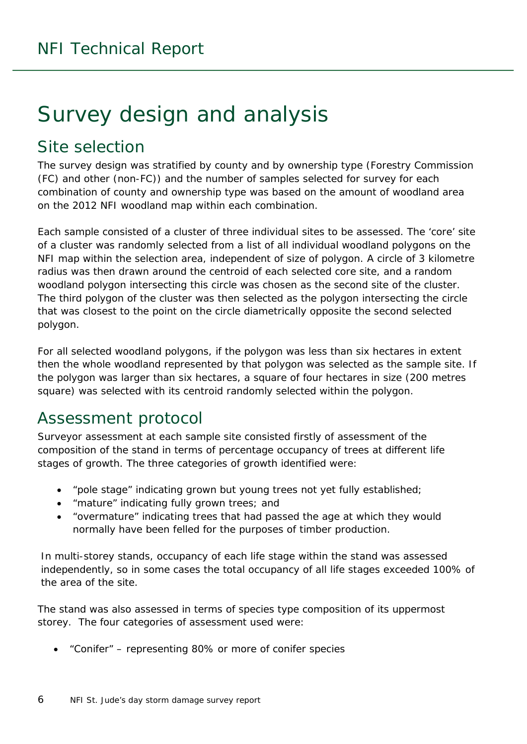# Survey design and analysis

### <span id="page-5-0"></span>Site selection

The survey design was stratified by county and by ownership type (Forestry Commission (FC) and other (non-FC)) and the number of samples selected for survey for each combination of county and ownership type was based on the amount of woodland area on the 2012 NFI woodland map within each combination.

Each sample consisted of a cluster of three individual sites to be assessed. The 'core' site of a cluster was randomly selected from a list of all individual woodland polygons on the NFI map within the selection area, independent of size of polygon. A circle of 3 kilometre radius was then drawn around the centroid of each selected core site, and a random woodland polygon intersecting this circle was chosen as the second site of the cluster. The third polygon of the cluster was then selected as the polygon intersecting the circle that was closest to the point on the circle diametrically opposite the second selected polygon.

For all selected woodland polygons, if the polygon was less than six hectares in extent then the whole woodland represented by that polygon was selected as the sample site. If the polygon was larger than six hectares, a square of four hectares in size (200 metres square) was selected with its centroid randomly selected within the polygon.

### <span id="page-5-1"></span>Assessment protocol

Surveyor assessment at each sample site consisted firstly of assessment of the composition of the stand in terms of percentage occupancy of trees at different life stages of growth. The three categories of growth identified were:

- "pole stage" indicating grown but young trees not yet fully established;
- "mature" indicating fully grown trees; and
- "overmature" indicating trees that had passed the age at which they would normally have been felled for the purposes of timber production.

In multi-storey stands, occupancy of each life stage within the stand was assessed independently, so in some cases the total occupancy of all life stages exceeded 100% of the area of the site.

The stand was also assessed in terms of species type composition of its uppermost storey. The four categories of assessment used were:

• "Conifer" – representing 80% or more of conifer species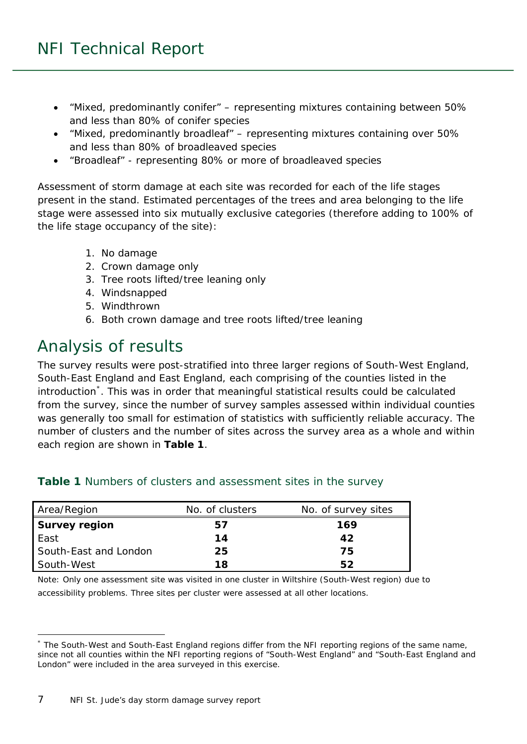- "Mixed, predominantly conifer" representing mixtures containing between 50% and less than 80% of conifer species
- "Mixed, predominantly broadleaf" representing mixtures containing over 50% and less than 80% of broadleaved species
- "Broadleaf" representing 80% or more of broadleaved species

Assessment of storm damage at each site was recorded for each of the life stages present in the stand. Estimated percentages of the trees and area belonging to the life stage were assessed into six mutually exclusive categories (therefore adding to 100% of the life stage occupancy of the site):

- 1. No damage
- 2. Crown damage only
- 3. Tree roots lifted/tree leaning only
- 4. Windsnapped
- 5. Windthrown
- 6. Both crown damage and tree roots lifted/tree leaning

### <span id="page-6-0"></span>Analysis of results

The survey results were post-stratified into three larger regions of South-West England, South-East England and East England, each comprising of the counties listed in the introduction<sup>[\\*](#page-6-2)</sup>. This was in order that meaningful statistical results could be calculated from the survey, since the number of survey samples assessed within individual counties was generally too small for estimation of statistics with sufficiently reliable accuracy. The number of clusters and the number of sites across the survey area as a whole and within each region are shown in **Table 1**.

| Area/Region           | No. of clusters | No. of survey sites |
|-----------------------|-----------------|---------------------|
| <b>Survey region</b>  | 57              | 169                 |
| East                  | 14              | 42                  |
| South-East and London | 25              | 75                  |
| South-West            | 18              | 52                  |

#### <span id="page-6-1"></span>**Table 1** Numbers of clusters and assessment sites in the survey

Note: Only one assessment site was visited in one cluster in Wiltshire (South-West region) due to accessibility problems. Three sites per cluster were assessed at all other locations.

 $\overline{a}$ 

<span id="page-6-2"></span><sup>\*</sup> The South-West and South-East England regions differ from the NFI reporting regions of the same name, since not all counties within the NFI reporting regions of "South-West England" and "South-East England and London" were included in the area surveyed in this exercise.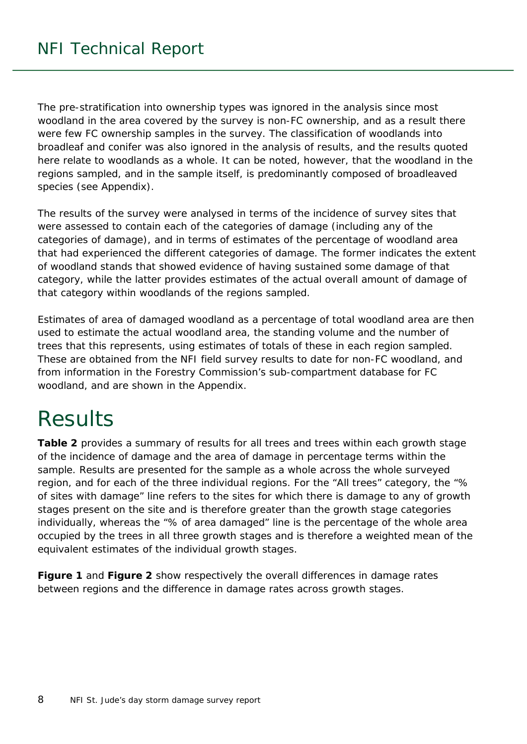The pre-stratification into ownership types was ignored in the analysis since most woodland in the area covered by the survey is non-FC ownership, and as a result there were few FC ownership samples in the survey. The classification of woodlands into broadleaf and conifer was also ignored in the analysis of results, and the results quoted here relate to woodlands as a whole. It can be noted, however, that the woodland in the regions sampled, and in the sample itself, is predominantly composed of broadleaved species (see Appendix).

The results of the survey were analysed in terms of the incidence of survey sites that were assessed to contain each of the categories of damage (including any of the categories of damage), and in terms of estimates of the percentage of woodland area that had experienced the different categories of damage. The former indicates the extent of woodland stands that showed evidence of having sustained some damage of that category, while the latter provides estimates of the actual overall amount of damage of that category within woodlands of the regions sampled.

Estimates of area of damaged woodland as a percentage of total woodland area are then used to estimate the actual woodland area, the standing volume and the number of trees that this represents, using estimates of totals of these in each region sampled. These are obtained from the NFI field survey results to date for non-FC woodland, and from information in the Forestry Commission's sub-compartment database for FC woodland, and are shown in the Appendix.

# <span id="page-7-0"></span>**Results**

**Table 2** provides a summary of results for all trees and trees within each growth stage of the incidence of damage and the area of damage in percentage terms within the sample. Results are presented for the sample as a whole across the whole surveyed region, and for each of the three individual regions. For the "All trees" category, the "% of sites with damage" line refers to the sites for which there is damage to any of growth stages present on the site and is therefore greater than the growth stage categories individually, whereas the "% of area damaged" line is the percentage of the whole area occupied by the trees in all three growth stages and is therefore a weighted mean of the equivalent estimates of the individual growth stages.

**Figure 1** and **Figure 2** show respectively the overall differences in damage rates between regions and the difference in damage rates across growth stages.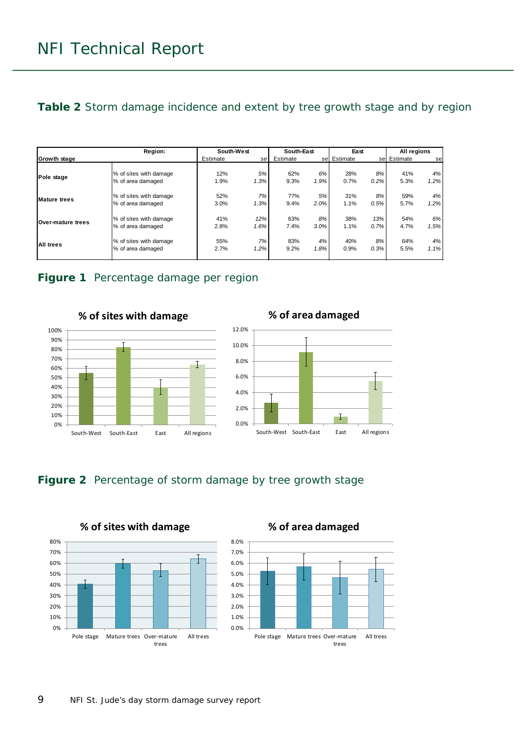<span id="page-8-2"></span>**Table 2** Storm damage incidence and extent by tree growth stage and by region

|                     | Region:                | South-West |      | South-East |      | East        |         | All regions |      |
|---------------------|------------------------|------------|------|------------|------|-------------|---------|-------------|------|
| <b>Growth stage</b> |                        | Estimate   | sel  | Estimate   |      | se Estimate | sel     | Estimate    | se   |
| Pole stage          | % of sites with damage | 12%        | 5%   | 62%        | 6%   | 28%         | 8%      | 41%         | 4%   |
|                     | % of area damaged      | 1.9%       | 1.3% | 9.3%       | 1.9% | 0.7%        | $0.2\%$ | 5.3%        | 1.2% |
| <b>Mature trees</b> | % of sites with damage | 52%        | 7%   | 77%        | 5%   | 31%         | 8%      | 59%         | 4%   |
|                     | % of area damaged      | 3.0%       | 1.3% | 9.4%       | 2.0% | 1.1%        | 0.5%    | 5.7%        | 1.2% |
| Over-mature trees   | % of sites with damage | 41%        | 12%  | 63%        | 8%   | 38%         | 13%     | 54%         | 6%   |
|                     | % of area damaged      | 2.8%       | 1.6% | 7.4%       | 3.0% | 1.1%        | 0.7%    | 4.7%        | 1.5% |
| <b>All trees</b>    | % of sites with damage | 55%        | 7%   | 83%        | 4%   | 40%         | 8%      | 64%         | 4%   |
|                     | % of area damaged      | 2.7%       | 1.2% | 9.2%       | 1.8% | 0.9%        | 0.3%    | 5.5%        | 1.1% |

#### <span id="page-8-0"></span>**Figure 1** Percentage damage per region



**% of sites with damage**





#### <span id="page-8-1"></span>**Figure 2** Percentage of storm damage by tree growth stage

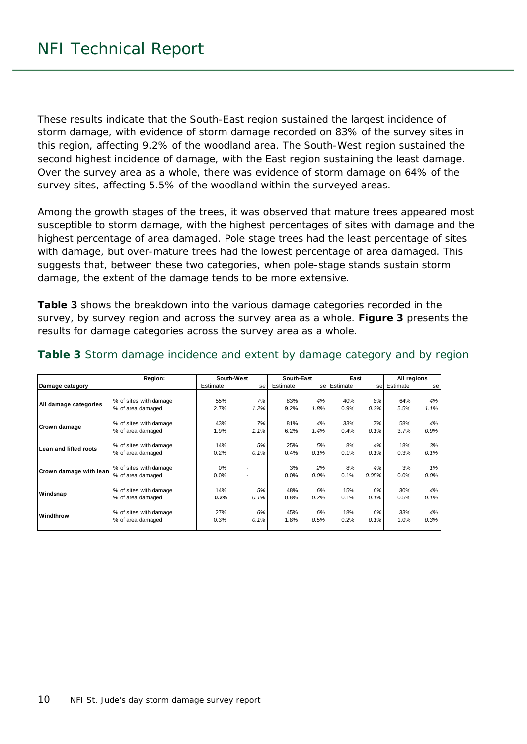These results indicate that the South-East region sustained the largest incidence of storm damage, with evidence of storm damage recorded on 83% of the survey sites in this region, affecting 9.2% of the woodland area. The South-West region sustained the second highest incidence of damage, with the East region sustaining the least damage. Over the survey area as a whole, there was evidence of storm damage on 64% of the survey sites, affecting 5.5% of the woodland within the surveyed areas.

Among the growth stages of the trees, it was observed that mature trees appeared most susceptible to storm damage, with the highest percentages of sites with damage and the highest percentage of area damaged. Pole stage trees had the least percentage of sites with damage, but over-mature trees had the lowest percentage of area damaged. This suggests that, between these two categories, when pole-stage stands sustain storm damage, the extent of the damage tends to be more extensive.

**Table 3** shows the breakdown into the various damage categories recorded in the survey, by survey region and across the survey area as a whole. **Figure 3** presents the results for damage categories across the survey area as a whole.

|                        | Region:                | South-West |      | South-East |         | East        |       | All regions |         |
|------------------------|------------------------|------------|------|------------|---------|-------------|-------|-------------|---------|
| Damage category        |                        | Estimate   | sel  | Estimate   |         | se Estimate | sel   | Estimate    | se      |
|                        |                        |            |      |            |         |             |       |             |         |
| All damage categories  | % of sites with damage | 55%        | 7%   | 83%        | 4%      | 40%         | 8%    | 64%         | 4%      |
|                        | % of area damaged      | 2.7%       | 1.2% | 9.2%       | 1.8%    | 0.9%        | 0.3%  | 5.5%        | 1.1%    |
| Crown damage           | % of sites with damage | 43%        | 7%   | 81%        | 4%      | 33%         | 7%    | 58%         | 4%      |
|                        | % of area damaged      | 1.9%       | 1.1% | 6.2%       | 1.4%    | 0.4%        | 0.1%  | 3.7%        | 0.9%    |
| Lean and lifted roots  | % of sites with damage | 14%        | 5%   | 25%        | 5%      | 8%          | 4%    | 18%         | 3%      |
|                        | % of area damaged      | 0.2%       | 0.1% | 0.4%       | 0.1%    | 0.1%        | 0.1%  | 0.3%        | 0.1%    |
| Crown damage with lean | % of sites with damage | $0\%$      |      | 3%         | 2%      | 8%          | 4%    | 3%          | 1%      |
|                        | % of area damaged      | 0.0%       |      | 0.0%       | $0.0\%$ | 0.1%        | 0.05% | 0.0%        | $0.0\%$ |
| Windsnap               | % of sites with damage | 14%        | 5%   | 48%        | 6%      | 15%         | 6%    | 30%         | 4%      |
|                        | % of area damaged      | 0.2%       | 0.1% | 0.8%       | 0.2%    | 0.1%        | 0.1%  | 0.5%        | 0.1%    |
| Windthrow              | % of sites with damage | 27%        | 6%   | 45%        | 6%      | 18%         | 6%    | 33%         | 4%      |
|                        | % of area damaged      | 0.3%       | 0.1% | 1.8%       | 0.5%    | 0.2%        | 0.1%  | 1.0%        | 0.3%    |

#### <span id="page-9-0"></span>**Table 3** Storm damage incidence and extent by damage category and by region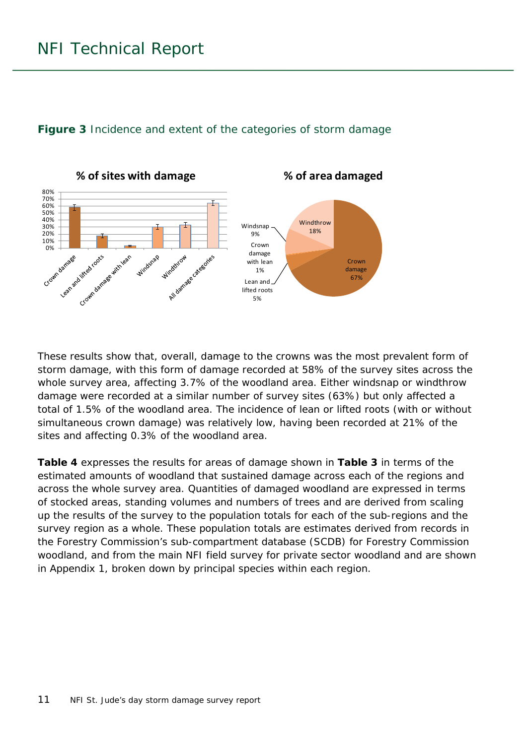#### <span id="page-10-0"></span>**Figure 3** Incidence and extent of the categories of storm damage



These results show that, overall, damage to the crowns was the most prevalent form of storm damage, with this form of damage recorded at 58% of the survey sites across the whole survey area, affecting 3.7% of the woodland area. Either windsnap or windthrow damage were recorded at a similar number of survey sites (63%) but only affected a total of 1.5% of the woodland area. The incidence of lean or lifted roots (with or without simultaneous crown damage) was relatively low, having been recorded at 21% of the sites and affecting 0.3% of the woodland area.

**Table 4** expresses the results for areas of damage shown in **Table 3** in terms of the estimated amounts of woodland that sustained damage across each of the regions and across the whole survey area. Quantities of damaged woodland are expressed in terms of stocked areas, standing volumes and numbers of trees and are derived from scaling up the results of the survey to the population totals for each of the sub-regions and the survey region as a whole. These population totals are estimates derived from records in the Forestry Commission's sub-compartment database (SCDB) for Forestry Commission woodland, and from the main NFI field survey for private sector woodland and are shown in Appendix 1, broken down by principal species within each region.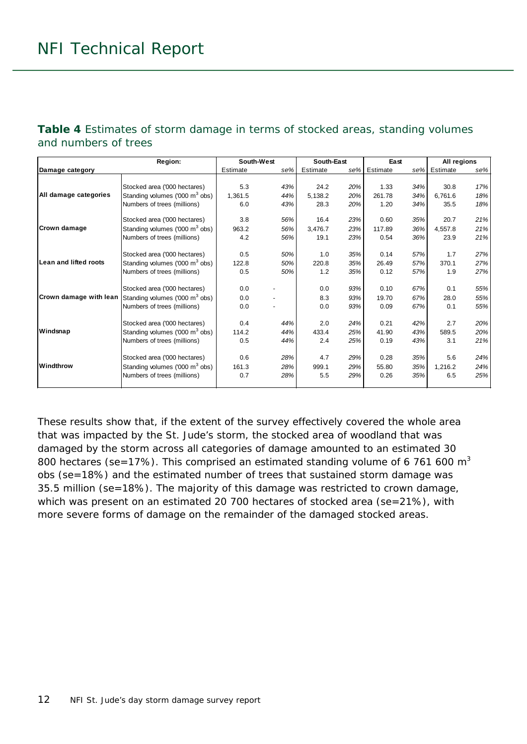#### <span id="page-11-0"></span>**Table 4** Estimates of storm damage in terms of stocked areas, standing volumes and numbers of trees

|                        | Region:                                    | South-West |                          | South-East |     | East     |     | All regions |     |
|------------------------|--------------------------------------------|------------|--------------------------|------------|-----|----------|-----|-------------|-----|
| Damage category        |                                            | Estimate   | se%                      | Estimate   | se% | Estimate | se% | Estimate    | se% |
|                        |                                            |            |                          |            |     |          |     |             |     |
|                        | Stocked area ('000 hectares)               | 5.3        | 43%                      | 24.2       | 20% | 1.33     | 34% | 30.8        | 17% |
| All damage categories  | Standing volumes ('000 m <sup>3</sup> obs) | 1,361.5    | 44%                      | 5,138.2    | 20% | 261.78   | 34% | 6.761.6     | 18% |
|                        | Numbers of trees (millions)                | 6.0        | 43%                      | 28.3       | 20% | 1.20     | 34% | 35.5        | 18% |
|                        | Stocked area ('000 hectares)               | 3.8        | 56%                      | 16.4       | 23% | 0.60     | 35% | 20.7        | 21% |
| Crown damage           | Standing volumes ('000 m <sup>3</sup> obs) | 963.2      | 56%                      | 3,476.7    | 23% | 117.89   | 36% | 4,557.8     | 21% |
|                        | Numbers of trees (millions)                | 4.2        | 56%                      | 19.1       | 23% | 0.54     | 36% | 23.9        | 21% |
|                        | Stocked area ('000 hectares)               | 0.5        | 50%                      | 1.0        | 35% | 0.14     | 57% | 1.7         | 27% |
| Lean and lifted roots  | Standing volumes ('000 m <sup>3</sup> obs) | 122.8      | 50%                      | 220.8      | 35% | 26.49    | 57% | 370.1       | 27% |
|                        | Numbers of trees (millions)                | 0.5        | 50%                      | 1.2        | 35% | 0.12     | 57% | 1.9         | 27% |
|                        | Stocked area ('000 hectares)               | 0.0        |                          | 0.0        | 93% | 0.10     | 67% | 0.1         | 55% |
| Crown damage with lean | Standing volumes ('000 m <sup>3</sup> obs) | 0.0        |                          | 8.3        | 93% | 19.70    | 67% | 28.0        | 55% |
|                        | Numbers of trees (millions)                | 0.0        | $\overline{\phantom{a}}$ | 0.0        | 93% | 0.09     | 67% | 0.1         | 55% |
|                        | Stocked area ('000 hectares)               | 0.4        | 44%                      | 2.0        | 24% | 0.21     | 42% | 2.7         | 20% |
| Windsnap               | Standing volumes ('000 m <sup>3</sup> obs) | 114.2      | 44%                      | 433.4      | 25% | 41.90    | 43% | 589.5       | 20% |
|                        | Numbers of trees (millions)                | 0.5        | 44%                      | 2.4        | 25% | 0.19     | 43% | 3.1         | 21% |
|                        | Stocked area ('000 hectares)               | 0.6        | 28%                      | 4.7        | 29% | 0.28     | 35% | 5.6         | 24% |
| Windthrow              | Standing volumes ('000 m <sup>3</sup> obs) | 161.3      | 28%                      | 999.1      | 29% | 55.80    | 35% | 1,216.2     | 24% |
|                        | Numbers of trees (millions)                | 0.7        | 28%                      | 5.5        | 29% | 0.26     | 35% | 6.5         | 25% |
|                        |                                            |            |                          |            |     |          |     |             |     |

These results show that, if the extent of the survey effectively covered the whole area that was impacted by the St. Jude's storm, the stocked area of woodland that was damaged by the storm across all categories of damage amounted to an estimated 30 800 hectares (se=17%). This comprised an estimated standing volume of 6 761 600  $m<sup>3</sup>$ obs (se=18%) and the estimated number of trees that sustained storm damage was 35.5 million (se=18%). The majority of this damage was restricted to crown damage, which was present on an estimated 20 700 hectares of stocked area (se=21%), with more severe forms of damage on the remainder of the damaged stocked areas.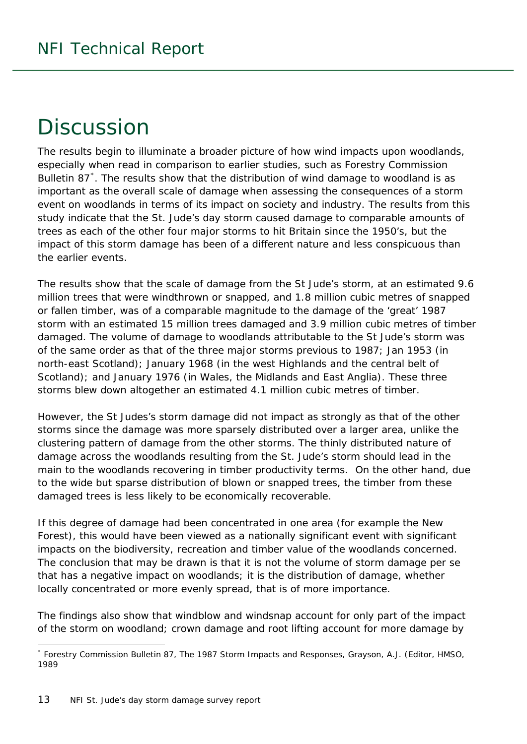# <span id="page-12-0"></span>**Discussion**

The results begin to illuminate a broader picture of how wind impacts upon woodlands, especially when read in comparison to earlier studies, such as Forestry Commission Bulletin 87<sup>[\\*](#page-12-1)</sup>. The results show that the distribution of wind damage to woodland is as important as the overall scale of damage when assessing the consequences of a storm event on woodlands in terms of its impact on society and industry. The results from this study indicate that the St. Jude's day storm caused damage to comparable amounts of trees as each of the other four major storms to hit Britain since the 1950's, but the impact of this storm damage has been of a different nature and less conspicuous than the earlier events.

The results show that the scale of damage from the St Jude's storm, at an estimated 9.6 million trees that were windthrown or snapped, and 1.8 million cubic metres of snapped or fallen timber, was of a comparable magnitude to the damage of the 'great' 1987 storm with an estimated 15 million trees damaged and 3.9 million cubic metres of timber damaged. The volume of damage to woodlands attributable to the St Jude's storm was of the same order as that of the three major storms previous to 1987; Jan 1953 (in north-east Scotland); January 1968 (in the west Highlands and the central belt of Scotland); and January 1976 (in Wales, the Midlands and East Anglia). These three storms blew down altogether an estimated 4.1 million cubic metres of timber.

However, the St Judes's storm damage did not impact as strongly as that of the other storms since the damage was more sparsely distributed over a larger area, unlike the clustering pattern of damage from the other storms. The thinly distributed nature of damage across the woodlands resulting from the St. Jude's storm should lead in the main to the woodlands recovering in timber productivity terms. On the other hand, due to the wide but sparse distribution of blown or snapped trees, the timber from these damaged trees is less likely to be economically recoverable.

If this degree of damage had been concentrated in one area (for example the New Forest), this would have been viewed as a nationally significant event with significant impacts on the biodiversity, recreation and timber value of the woodlands concerned. The conclusion that may be drawn is that it is not the volume of storm damage *per se* that has a negative impact on woodlands; it is the distribution of damage, whether locally concentrated or more evenly spread, that is of more importance.

The findings also show that windblow and windsnap account for only part of the impact of the storm on woodland; crown damage and root lifting account for more damage by

-

<span id="page-12-1"></span><sup>\*</sup> Forestry Commission Bulletin 87, *The 1987 Storm Impacts and Responses,* Grayson, A.J. (Editor, HMSO, 1989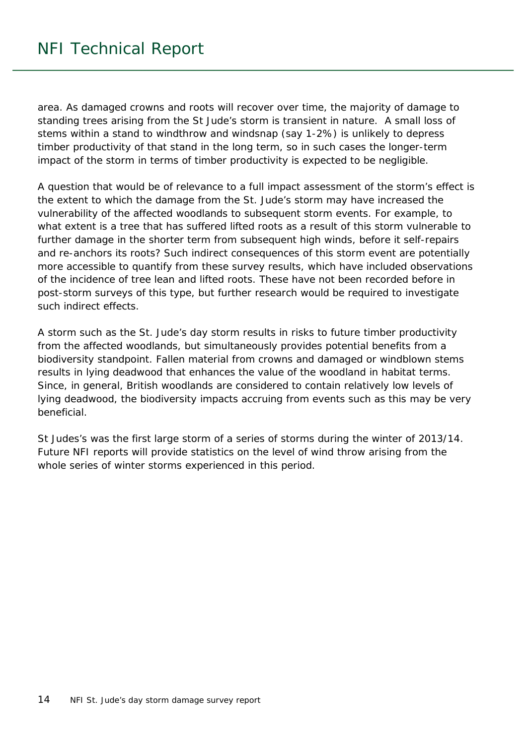area. As damaged crowns and roots will recover over time, the majority of damage to standing trees arising from the St Jude's storm is transient in nature. A small loss of stems within a stand to windthrow and windsnap (say 1-2%) is unlikely to depress timber productivity of that stand in the long term, so in such cases the longer-term impact of the storm in terms of timber productivity is expected to be negligible.

A question that would be of relevance to a full impact assessment of the storm's effect is the extent to which the damage from the St. Jude's storm may have increased the vulnerability of the affected woodlands to subsequent storm events. For example, to what extent is a tree that has suffered lifted roots as a result of this storm vulnerable to further damage in the shorter term from subsequent high winds, before it self-repairs and re-anchors its roots? Such indirect consequences of this storm event are potentially more accessible to quantify from these survey results, which have included observations of the incidence of tree lean and lifted roots. These have not been recorded before in post-storm surveys of this type, but further research would be required to investigate such indirect effects.

A storm such as the St. Jude's day storm results in risks to future timber productivity from the affected woodlands, but simultaneously provides potential benefits from a biodiversity standpoint. Fallen material from crowns and damaged or windblown stems results in lying deadwood that enhances the value of the woodland in habitat terms. Since, in general, British woodlands are considered to contain relatively low levels of lying deadwood, the biodiversity impacts accruing from events such as this may be very beneficial.

St Judes's was the first large storm of a series of storms during the winter of 2013/14. Future NFI reports will provide statistics on the level of wind throw arising from the whole series of winter storms experienced in this period.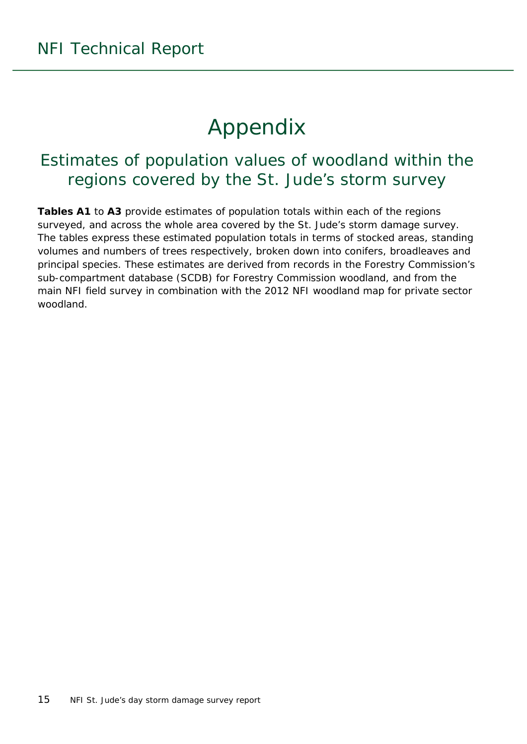# Appendix

### <span id="page-14-1"></span><span id="page-14-0"></span>Estimates of population values of woodland within the regions covered by the St. Jude's storm survey

**Tables A1** to **A3** provide estimates of population totals within each of the regions surveyed, and across the whole area covered by the St. Jude's storm damage survey. The tables express these estimated population totals in terms of stocked areas, standing volumes and numbers of trees respectively, broken down into conifers, broadleaves and principal species. These estimates are derived from records in the Forestry Commission's sub-compartment database (SCDB) for Forestry Commission woodland, and from the main NFI field survey in combination with the 2012 NFI woodland map for private sector woodland.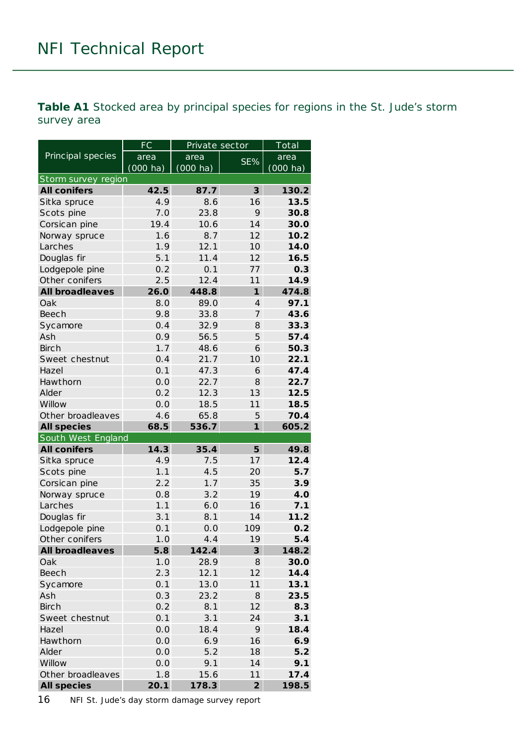<span id="page-15-0"></span>**Table A1** Stocked area by principal species for regions in the St. Jude's storm survey area

|                            | <b>FC</b>          | Private sector     |                         | Total              |
|----------------------------|--------------------|--------------------|-------------------------|--------------------|
| Principal species          | area               | area               | SE%                     | area               |
|                            | $(000 \text{ ha})$ | $(000 \text{ ha})$ |                         | $(000 \text{ ha})$ |
| Storm survey region        |                    |                    |                         |                    |
| <b>All conifers</b>        | 42.5               | 87.7               | $\overline{\mathbf{3}}$ | 130.2              |
| Sitka spruce               | 4.9                | 8.6                | 16                      | 13.5               |
| Scots pine                 | 7.0                | 23.8               | 9                       | 30.8               |
| Corsican pine              | 19.4               | 10.6               | 14                      | 30.0               |
| Norway spruce              | 1.6                | 8.7                | 12                      | 10.2               |
| Larches                    | 1.9                | 12.1               | 10                      | 14.0               |
| Douglas fir                | 5.1                | 11.4               | 12                      | 16.5               |
| Lodgepole pine             | 0.2                | 0.1                | 77                      | 0.3                |
| Other conifers             | 2.5                | 12.4               | 11                      | 14.9               |
| <b>All broadleaves</b>     | 26.0               | 448.8              | $\mathbf{1}$            | 474.8              |
| Oak                        | 8.0                | 89.0               | $\overline{4}$          | 97.1               |
| Beech                      | 9.8                | 33.8               | 7                       | 43.6               |
| Sycamore                   | 0.4                | 32.9               | 8                       | 33.3               |
| Ash                        | 0.9                | 56.5               | 5                       | 57.4               |
| <b>Birch</b>               | 1.7                | 48.6               | 6                       | 50.3               |
| Sweet chestnut             | 0.4                | 21.7               | 10                      | 22.1               |
| Hazel                      | 0.1                | 47.3               | 6                       | 47.4               |
| Hawthorn                   | 0.0                | 22.7               | 8                       | 22.7               |
| Alder                      | 0.2                | 12.3               | 13                      | 12.5               |
| Willow                     | 0.0                | 18.5               | 11                      | 18.5               |
| Other broadleaves          | 4.6                | 65.8               | 5                       | 70.4               |
| <b>All species</b>         | 68.5               | 536.7              | $\mathbf{1}$            | 605.2              |
| South West England         | 14.3               |                    | 5                       |                    |
| <b>All conifers</b>        | 4.9                | 35.4<br>7.5        | 17                      | 49.8<br>12.4       |
| Sitka spruce<br>Scots pine | 1.1                | 4.5                | 20                      | 5.7                |
| Corsican pine              | 2.2                | 1.7                | 35                      | 3.9                |
|                            | 0.8                | 3.2                | 19                      | 4.0                |
| Norway spruce<br>Larches   | 1.1                | 6.0                | 16                      | 7.1                |
| Douglas fir                | 3.1                | 8.1                | 14                      | 11.2               |
| Lodgepole pine             | 0.1                | 0.0                | 109                     | 0.2                |
| Other conifers             | 1.0                | 4.4                | 19                      | 5.4                |
| <b>All broadleaves</b>     | 5.8                | 142.4              | 3                       | 148.2              |
| Oak                        | 1.0                | 28.9               | 8                       | 30.0               |
| <b>Beech</b>               | 2.3                | 12.1               | 12                      | 14.4               |
| Sycamore                   | 0.1                | 13.0               | 11                      | 13.1               |
| Ash                        | 0.3                | 23.2               | 8                       | 23.5               |
| <b>Birch</b>               | 0.2                | 8.1                | 12                      | 8.3                |
| Sweet chestnut             | 0.1                | 3.1                | 24                      | 3.1                |
| Hazel                      | 0.0                | 18.4               | 9                       | 18.4               |
| Hawthorn                   | 0.0                | 6.9                | 16                      | 6.9                |
| Alder                      | 0.0                | 5.2                | 18                      | 5.2                |
| Willow                     | 0.0                | 9.1                | 14                      | 9.1                |
| Other broadleaves          | 1.8                | 15.6               | 11                      | 17.4               |
| <b>All species</b>         | 20.1               | 178.3              | $\overline{2}$          | 198.5              |

16 NFI St. Jude's day storm damage survey report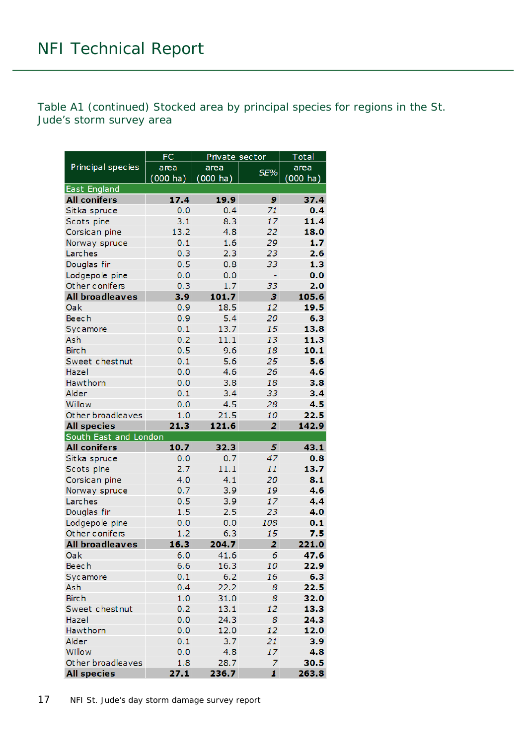Table A1 (continued) Stocked area by principal species for regions in the St. Jude's storm survey area

|                        | <b>FC</b>          | Private sector |              | <b>Total</b>       |
|------------------------|--------------------|----------------|--------------|--------------------|
| Principal species      | area               | area           | SE%          | area               |
|                        | $(000 \text{ ha})$ | (000 ha)       |              | $(000 \text{ ha})$ |
| <b>East England</b>    |                    |                |              |                    |
| <b>All conifers</b>    | 17.4               | 19.9           | 9            | 37.4               |
| Sitka spruce           | 0.0                | 0.4            | 71           | 0.4                |
| Scots pine             | 3.1                | 8.3            | 17           | 11.4               |
| Corsican pine          | 13.2               | 4.8            | 22           | 18.0               |
| Norway spruce          | 0.1                | 1.6            | 29           | 1.7                |
| Larches                | 0.3                | 2.3            | 23           | 2.6                |
| Douglas fir            | 0.5                | 0.8            | 33           | 1.3                |
| Lodgepole pine         | 0, 0               | 0.0            | ÷,           | 0.0                |
| Other conifers         | 0.3                | 1.7            | 33           | 2.0                |
| <b>All broadleaves</b> | 3.9                | 101.7          | 3            | 105.6              |
| Oak                    | 0.9                | 18.5           | 12           | 19.5               |
| <b>Beech</b>           | 0.9                | 5.4            | 20           | 6.3                |
| Sycamore               | 0.1                | 13.7           | 15           | 13.8               |
| Ash                    | 0.2                | 11.1           | 13           | 11.3               |
| <b>Birch</b>           | 0.5                | 9.6            | 18           | 10.1               |
| Sweet chestnut         | 0.1                | 5.6            | 25           | 5.6                |
| Hazel                  | 0.0                | 4.6            | 26           | 4.6                |
| Hawthorn               | 0, 0               | 3.8            | 18           | 3.8                |
| Alder                  | 0.1                | 3.4            | 33           | 3.4                |
| Willow                 | 0.0                | 4.5            | 28           | 4.5                |
| Other broadleaves      | 1.0                | 21.5           | 10           | 22.5               |
| <b>All species</b>     | 21.3               | 121.6          | 2            | 142.9              |
| South East and London  |                    |                |              |                    |
| <b>All conifers</b>    | 10.7               | 32.3           | 5            | 43.1               |
| Sitka spruce           | 0.0                | 0.7            | 47           | 0.8                |
| Scots pine             | 2.7                | 11.1           | 11           | 13.7               |
| Corsican pine          | 4.0                | 4.1            | 20           | 8.1                |
| Norway spruce          | 0.7                | 3.9            | 19           | 4.6                |
| Larches                | 0.5                | 3.9            | 17           | 4.4                |
| Douglas fir            | 1.5                | 2.5            | 23           | 4.0                |
| Lodgepole pine         | 0, 0               | 0, 0           | 108          | 0.1                |
| Other conifers         | 1,2                | 6.3            | 15           | 7.5                |
| <b>All broadleaves</b> | 16.3               | 204.7          | 2            | 221.0              |
| Oak                    | 6.0                | 41.6           | 6            | 47.6               |
| <b>Beech</b>           | 6.6                | 16.3           | 10           | 22.9               |
| Sycamore               | 0.1                | 6.2            | 16           | 6.3                |
| Ash                    | 0.4                | 22.2           | 8            | 22.5               |
| <b>Birch</b>           | 1.0                | 31.0           | 8            | 32.0               |
| Sweet chestnut         | 0.2                | 13.1           | 12           | 13.3               |
| Hazel                  | 0.0                | 24.3           | 8            | 24.3               |
| Hawthorn               | 0.0                | 12.0           | 12           | 12.0               |
| Alder                  | 0.1                | 3.7            | 21           | 3.9                |
| Willow                 | 0.0                | 4.8            | 17           | 4.8                |
| Other broadleaves      | 1.8                | 28.7           | 7            | 30.5               |
| <b>All species</b>     | 27.1               | 236.7          | $\mathbf{I}$ | 263.8              |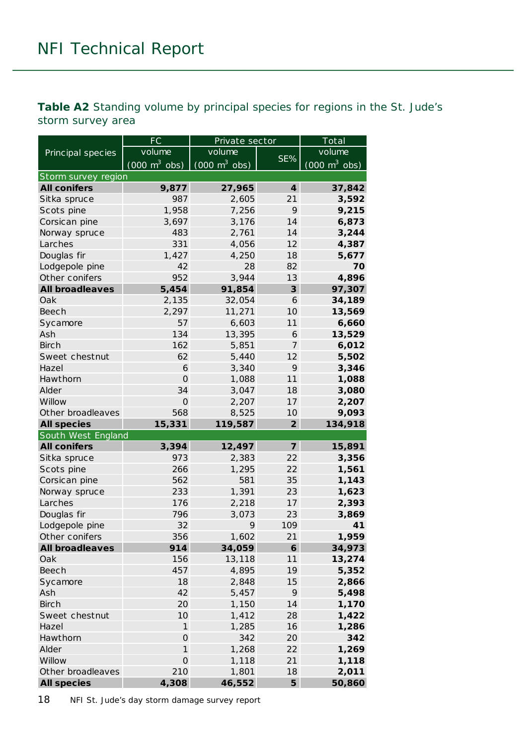<span id="page-17-0"></span>**Table A2** Standing volume by principal species for regions in the St. Jude's storm survey area

|                        | FC                              | Private sector                  |                  | Total                           |
|------------------------|---------------------------------|---------------------------------|------------------|---------------------------------|
| Principal species      | volume                          | volume                          |                  | volume                          |
|                        | $(000 \text{ m}^3 \text{ obs})$ | $(000 \text{ m}^3 \text{ obs})$ | SE%              | $(000 \text{ m}^3 \text{ obs})$ |
| Storm survey region    |                                 |                                 |                  |                                 |
| <b>All conifers</b>    | 9,877                           | 27,965                          | $\boldsymbol{4}$ | 37,842                          |
| Sitka spruce           | 987                             | 2,605                           | 21               | 3,592                           |
| Scots pine             | 1,958                           | 7,256                           | 9                | 9,215                           |
| Corsican pine          | 3,697                           | 3,176                           | 14               | 6,873                           |
| Norway spruce          | 483                             | 2,761                           | 14               | 3,244                           |
| Larches                | 331                             | 4,056                           | 12               | 4,387                           |
| Douglas fir            | 1,427                           | 4,250                           | 18               | 5,677                           |
| Lodgepole pine         | 42                              | 28                              | 82               | 70                              |
| Other conifers         | 952                             | 3,944                           | 13               | 4,896                           |
| <b>All broadleaves</b> | 5,454                           | 91,854                          | 3                | 97,307                          |
| Oak                    | 2,135                           | 32,054                          | 6                | 34,189                          |
| Beech                  | 2,297                           | 11,271                          | 10               | 13,569                          |
| Sycamore               | 57                              | 6,603                           | 11               | 6,660                           |
| Ash                    | 134                             | 13,395                          | 6                | 13,529                          |
| <b>Birch</b>           | 162                             | 5,851                           | 7                | 6,012                           |
| Sweet chestnut         | 62                              | 5,440                           | 12               | 5,502                           |
| Hazel                  | 6                               | 3,340                           | 9                | 3,346                           |
| Hawthorn               | $\mathbf{O}$                    | 1,088                           | 11               | 1,088                           |
| Alder                  | 34                              | 3,047                           | 18               | 3,080                           |
| Willow                 | $\overline{O}$                  | 2,207                           | 17               | 2,207                           |
| Other broadleaves      | 568                             | 8,525                           | 10               | 9,093                           |
| <b>All species</b>     | 15,331                          | 119,587                         | $\overline{2}$   | 134,918                         |
| South West England     |                                 |                                 |                  |                                 |
| <b>All conifers</b>    | 3,394                           | 12,497                          | $\overline{z}$   | 15,891                          |
| Sitka spruce           | 973                             | 2,383                           | 22               | 3,356                           |
| Scots pine             | 266                             | 1,295                           | 22               | 1,561                           |
| Corsican pine          | 562                             | 581                             | 35               | 1,143                           |
| Norway spruce          | 233                             | 1,391                           | 23               | 1,623                           |
| Larches                | 176                             | 2,218                           | 17               | 2,393                           |
| Douglas fir            | 796                             | 3,073                           | 23               | 3,869                           |
| Lodgepole pine         | 32                              | 9                               | 109              | 41                              |
| Other conifers         | 356                             | 1,602                           | 21               | 1,959                           |
| <b>All broadleaves</b> | 914                             | 34,059                          | 6                | 34,973                          |
| Oak                    | 156                             | 13,118                          | 11               | 13,274                          |
| Beech                  | 457                             | 4,895                           | 19               | 5,352                           |
| Sycamore               | 18                              | 2,848                           | 15               | 2,866                           |
| Ash                    | 42                              | 5,457                           | 9                | 5,498                           |
| <b>Birch</b>           | 20                              | 1,150                           | 14               | 1,170                           |
| Sweet chestnut         | 10                              | 1,412                           | 28               | 1,422                           |
| Hazel                  | $\mathbf{1}$                    | 1,285                           | 16               | 1,286                           |
| Hawthorn               | $\mathsf{O}\xspace$             | 342                             | 20               | 342                             |
| Alder                  | 1                               | 1,268                           | 22               | 1,269                           |
| Willow                 | $\mathsf{O}$                    | 1,118                           | 21               | 1,118                           |
| Other broadleaves      | 210                             | 1,801                           | 18               | 2,011                           |
| <b>All species</b>     | 4,308                           | 46,552                          | 5                | 50,860                          |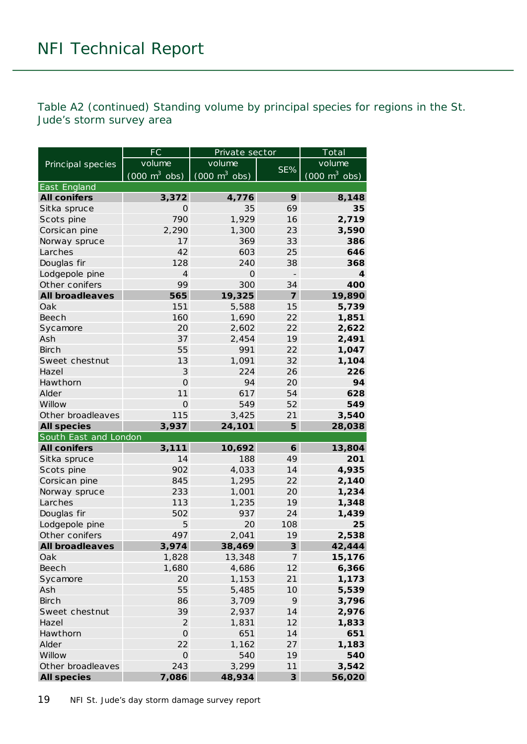Table A2 (continued) Standing volume by principal species for regions in the St. Jude's storm survey area

|                        | FC                              | Private sector                  |                         | Total                               |
|------------------------|---------------------------------|---------------------------------|-------------------------|-------------------------------------|
| Principal species      | volume                          | volume                          |                         | volume                              |
|                        | $(000 \text{ m}^3 \text{ obs})$ | $(000 \text{ m}^3 \text{ obs})$ | SE%                     | $(000 \; \text{m}^3 \; \text{obs})$ |
| East England           |                                 |                                 |                         |                                     |
| <b>All conifers</b>    | 3,372                           | 4,776                           | 9                       | 8,148                               |
| Sitka spruce           | $\Omega$                        | 35                              | 69                      | 35                                  |
| Scots pine             | 790                             | 1,929                           | 16                      | 2,719                               |
| Corsican pine          | 2,290                           | 1,300                           | 23                      | 3,590                               |
| Norway spruce          | 17                              | 369                             | 33                      | 386                                 |
| Larches                | 42                              | 603                             | 25                      | 646                                 |
| Douglas fir            | 128                             | 240                             | 38                      | 368                                 |
| Lodgepole pine         | $\overline{4}$                  | $\Omega$                        |                         | 4                                   |
| Other conifers         | 99                              | 300                             | 34                      | 400                                 |
| <b>All broadleaves</b> | 565                             | 19,325                          | $\overline{\mathbf{z}}$ | 19,890                              |
| Oak                    | 151                             | 5,588                           | 15                      | 5,739                               |
| Beech                  | 160                             | 1,690                           | 22                      | 1,851                               |
| Sycamore               | 20                              | 2,602                           | 22                      | 2,622                               |
| Ash                    | 37                              | 2,454                           | 19                      | 2,491                               |
| <b>Birch</b>           | 55                              | 991                             | 22                      | 1,047                               |
| Sweet chestnut         | 13                              | 1,091                           | 32                      | 1,104                               |
| Hazel                  | 3                               | 224                             | 26                      | 226                                 |
| Hawthorn               | $\Omega$                        | 94                              | 20                      | 94                                  |
| Alder                  | 11                              | 617                             | 54                      | 628                                 |
| Willow                 | $\mathbf{O}$                    | 549                             | 52                      | 549                                 |
| Other broadleaves      | 115                             | 3,425                           | 21                      | 3,540                               |
|                        |                                 |                                 |                         |                                     |
| <b>All species</b>     | 3,937                           | 24,101                          | 5                       | 28,038                              |
| South East and London  |                                 |                                 |                         |                                     |
| <b>All conifers</b>    | 3,111                           | 10,692                          | 6                       | 13,804                              |
| Sitka spruce           | 14                              | 188                             | 49                      | 201                                 |
| Scots pine             | 902                             | 4,033                           | 14                      | 4,935                               |
| Corsican pine          | 845                             | 1,295                           | 22                      | 2,140                               |
| Norway spruce          | 233                             | 1,001                           | 20                      | 1,234                               |
| Larches                | 113                             | 1,235                           | 19                      | 1,348                               |
| Douglas fir            | 502                             | 937                             | 24                      | 1,439                               |
| Lodgepole pine         | 5                               | 20                              | 108                     | 25                                  |
| Other conifers         | 497                             | 2,041                           | 19                      | 2,538                               |
| <b>All broadleaves</b> | 3,974                           | 38,469                          | 3                       | 42,444                              |
| Oak                    | 1,828                           | 13,348                          | $\overline{7}$          | 15,176                              |
| <b>Beech</b>           | 1,680                           | 4,686                           | 12                      | 6,366                               |
| Sycamore               | 20                              | 1,153                           | 21                      | 1,173                               |
| Ash                    | 55                              | 5,485                           | 10                      | 5,539                               |
| <b>Birch</b>           | 86                              | 3,709                           | 9                       | 3,796                               |
| Sweet chestnut         | 39                              | 2,937                           | 14                      | 2,976                               |
| Hazel                  | $\overline{2}$                  | 1,831                           | 12                      | 1,833                               |
| Hawthorn               | $\overline{O}$                  | 651                             | 14                      | 651                                 |
| Alder                  | 22                              | 1,162                           | 27                      | 1,183                               |
| Willow                 | $\mathsf O$                     | 540                             | 19                      | 540                                 |
| Other broadleaves      | 243                             | 3,299                           | 11                      | 3,542                               |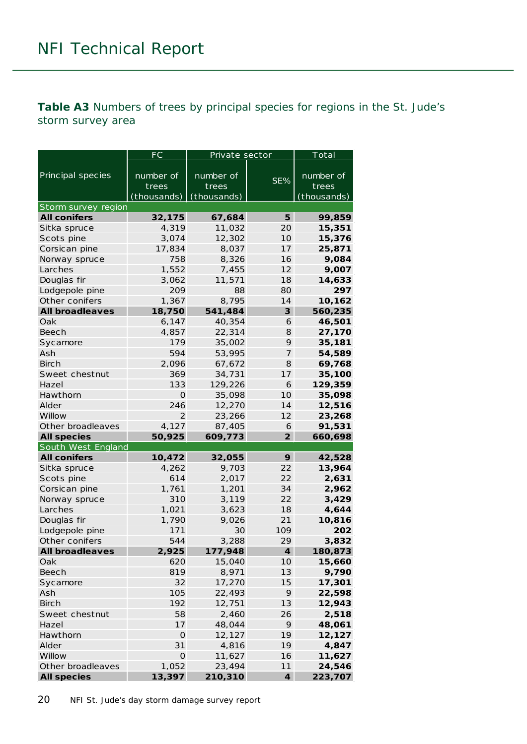<span id="page-19-0"></span>**Table A3** Numbers of trees by principal species for regions in the St. Jude's storm survey area

|                                | FC                   | Private sector   |                  | Total            |
|--------------------------------|----------------------|------------------|------------------|------------------|
| Principal species              | number of            | number of        | SE%              | number of        |
|                                | trees                | trees            |                  | trees            |
|                                | (thousands)          | (thousands)      |                  | (thousands)      |
| Storm survey region            |                      |                  |                  |                  |
| <b>All conifers</b>            | 32,175               | 67,684           | 5                | 99,859           |
| Sitka spruce                   | 4,319                | 11,032           | 20               | 15,351           |
| Scots pine                     | 3,074                | 12,302           | 10               | 15,376           |
| Corsican pine                  | 17,834               | 8,037            | 17               | 25,871           |
| Norway spruce                  | 758                  | 8,326            | 16               | 9,084            |
| Larches                        | 1,552                | 7,455            | 12               | 9,007            |
| Douglas fir                    | 3,062                | 11,571           | 18               | 14,633           |
| Lodgepole pine                 | 209                  | 88               | 80               | 297              |
| Other conifers                 | 1,367                | 8,795            | 14               | 10,162           |
| <b>All broadleaves</b>         | 18,750               | 541,484          | 3                | 560,235          |
| Oak                            | 6,147                | 40,354           | 6                | 46,501           |
| Beech                          | 4,857                | 22,314           | 8                | 27,170           |
| Sycamore                       | 179                  | 35,002           | 9                | 35,181           |
| Ash                            | 594                  | 53,995           | 7                | 54,589           |
| <b>Birch</b>                   | 2,096                | 67,672           | 8                | 69,768           |
| Sweet chestnut                 | 369                  | 34,731           | 17               | 35,100           |
| Hazel                          | 133                  | 129,226          | 6                | 129,359          |
| Hawthorn                       | O                    | 35,098           | 10               | 35,098           |
| Alder                          | 246                  | 12,270           | 14               | 12,516           |
| Willow                         | $\overline{2}$       | 23,266           | 12               | 23,268           |
| Other broadleaves              | 4,127                | 87,405           | 6                | 91,531           |
| <b>All species</b>             | 50,925               | 609,773          | $\overline{2}$   | 660,698          |
| South West England             |                      |                  |                  |                  |
| <b>All conifers</b>            | 10,472               | 32,055           | 9                | 42,528           |
| Sitka spruce                   | 4,262                | 9,703            | 22               | 13,964           |
| Scots pine                     | 614                  | 2,017            | 22               | 2,631            |
| Corsican pine                  | 1,761                | 1,201            | 34               | 2,962            |
| Norway spruce                  | 310                  | 3,119            | 22               | 3,429            |
| Larches                        | 1,021                | 3,623            | 18               | 4,644            |
| Douglas fir                    | 1,790                | 9,026            | 21               | 10,816           |
| Lodgepole pine                 | 171                  | 30               | 109              | 202              |
| Other conifers                 | 544                  | 3,288            | 29               | 3,832            |
| <b>All broadleaves</b>         | 2,925                | 177,948          | $\boldsymbol{4}$ | 180,873          |
| Oak                            | 620                  | 15,040           | 10               | 15,660           |
| Beech                          | 819                  | 8,971            | 13               | 9,790            |
| Sycamore                       | 32                   | 17,270<br>22,493 | 15<br>9          | 17,301<br>22,598 |
| Ash                            | 105                  |                  |                  |                  |
| <b>Birch</b><br>Sweet chestnut | 192<br>58            | 12,751<br>2,460  | 13<br>26         | 12,943           |
| Hazel                          | 17                   | 48,044           | 9                | 2,518            |
| Hawthorn                       | $\mathbf{O}$         | 12,127           | 19               | 48,061           |
| Alder                          | 31                   | 4,816            | 19               | 12,127<br>4,847  |
| Willow                         |                      |                  |                  |                  |
| Other broadleaves              | $\mathsf O$<br>1,052 | 11,627<br>23,494 | 16<br>11         | 11,627<br>24,546 |
| <b>All species</b>             | 13,397               | 210,310          | $\boldsymbol{4}$ | 223,707          |
|                                |                      |                  |                  |                  |